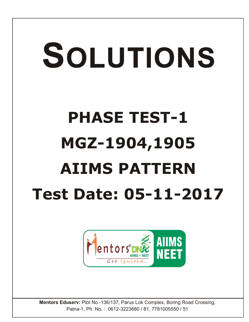# SOLUTIONS

# **PHASE TEST-1 MGZ-1904,1905 AIIMS PATTERN Test Date: 05-11-2017**



**Mentors Eduserv:** Plot No.-136/137, Parus Lok Complex, Boring Road Crossing, Patna-1, Ph. No. : 0612-3223680 / 81, 7781005550 / 51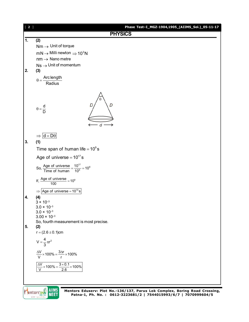

Mentors DNE **AIIMS NEET**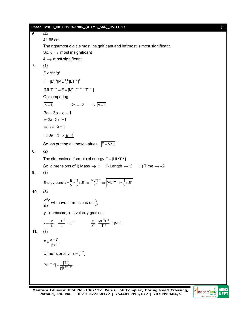**Phase Test–I\_MGZ-1904,1905\_(AIIMS\_Sol.)\_05-11-17** [ **3** ] **6. (4)** 41.68 cm The rightmost digit is most insignificant and leftmost is most significant. So,  $8 \rightarrow$  most insignificant  $4 \rightarrow$  most significant **7. (1)**  $F \propto V^a \rho^b q^c$  $F = [L^3]^a [ML^{-3}]^b [LT^{-2}]^c$  $[MLT^{-2}] = F = [M^bL^{3a-3b+c}T^{-2c}]$ On comparing  $\overline{b} = 1$ ,  $-2c = -2$   $\Rightarrow \overline{c} = 1$  $3a - 3b + c = 1$  $\Rightarrow$  3a - 3 + 1 = 1  $\Rightarrow$  3a - 2 = 1  $\Rightarrow$  3a = 3  $\Rightarrow$  a = 1 So, on putting all these values,  $F = V \rho g$ **8. (2)** The dimensional formula of energy  $E = [ML<sup>2</sup>T<sup>-2</sup>]$ So, dimensions of i) Mass  $\rightarrow$  1 ii) Length  $\rightarrow$  2 iii) Time  $\rightarrow$  -2 **9. (3)** Energy density  $=$   $\frac{E}{V}$   $=$   $\frac{1}{2}$   $\varepsilon_0$  E<sup>2</sup>  $\Rightarrow$   $\frac{ML^2T^{-2}}{L^3}$   $\Rightarrow$   $\left[$ [ML<sup>-1</sup>T<sup>-2</sup>]  $=$   $\frac{1}{2}$   $\varepsilon_0$ E<sup>2</sup>  $=\frac{E}{U}=\frac{1}{2}\varepsilon_0E^2 \Rightarrow \frac{ML^2T^{-2}}{13} \Rightarrow |[ML^{-1}T^{-2}]=\frac{1}{2}\varepsilon_0E$ **10. (3)** 2  $\frac{d^2y}{dx^2}$  will have dimensions of  $\frac{y}{x^2}$  $y \rightarrow$  pressure,  $x \rightarrow$  velocity gradient  $x \rightarrow \frac{V}{L} \Rightarrow \frac{LT^{-1}}{L} \Rightarrow T^{-1}$  $\rightarrow \frac{V}{L} \Rightarrow \frac{LT^{-1}}{L} \Rightarrow T^{-1}$   $\frac{y}{x^2} = \frac{ML^{-1}T^{-2}}{T^{-2}} \Rightarrow [ML^{-1}]$  $=\frac{ML^{-1}T^{-2}}{T^{-2}} \Rightarrow [ML^{-1}]$ **11. (3)** 2  $F = \frac{\alpha - t}{\beta v^2}$  $=\frac{\alpha - t}{\beta v^2}$ Dimensionally,  $\alpha = [T^2]$  $[MLT^{-2}] = \frac{[T^2]}{\beta[L^2T^{-2}]}$  $^{-2}$ ] =  $\frac{1}{\beta L^2}$ 

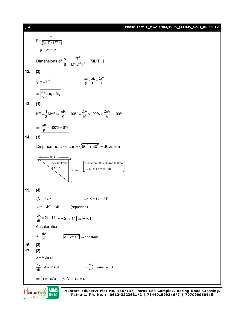## [ **4** ] **Phase Test–I\_MGZ-1904,1905\_(AIIMS\_Sol.)\_05-11-17**





**Mentors Eduserv: Plot No.-136/137, Parus Lok Complex, Boring Road Crossing, Patna-1, Ph. No. : 0612-3223681/2 | 7544015993/6/7 | 7070999604/5**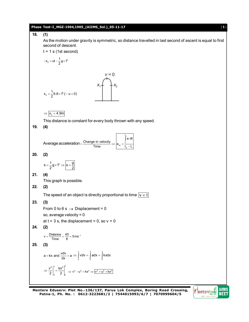

**Mentors Eduserv: Plot No.-136/137, Parus Lok Complex, Boring Road Crossing, Patna-1, Ph. No. : 0612-3223681/2 | 7544015993/6/7 | 7070999604/5**

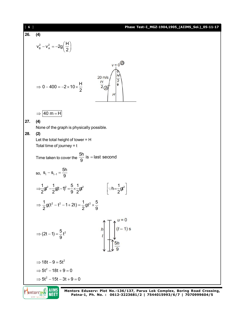| [6]        |                                                                                                                                                                                                                                | Phase Test-I_MGZ-1904,1905_(AIIMS_Sol.)_05-11-17 |  |  |  |  |  |
|------------|--------------------------------------------------------------------------------------------------------------------------------------------------------------------------------------------------------------------------------|--------------------------------------------------|--|--|--|--|--|
| 26.        | (4)                                                                                                                                                                                                                            |                                                  |  |  |  |  |  |
|            | $v_B^2 - v_A^2 = -2g\left(\frac{H}{2}\right)$                                                                                                                                                                                  |                                                  |  |  |  |  |  |
|            | $v = 0$<br>$\frac{H}{2}$<br>$20 \text{ m/s}$<br>$rac{H}{2}$<br>$\Rightarrow$ 0 - 400 = -2 × 10 × $\frac{H}{2}$<br>H                                                                                                            |                                                  |  |  |  |  |  |
|            | $ 40 \text{ m} = H $<br>$\Rightarrow$                                                                                                                                                                                          |                                                  |  |  |  |  |  |
| 27.<br>28. | (4)<br>None of the graph is physically possible.<br>(2)<br>Let the total height of tower = $H$<br>Total time of journey $= t$<br>Time taken to cover the $\frac{5h}{9}$ is = last second<br>so, $S_t - S_{t-1} = \frac{5h}{9}$ |                                                  |  |  |  |  |  |
|            | $\Rightarrow \frac{1}{2}gt^2 - \frac{1}{2}gt - \frac{1}{9}t^2 = \frac{5}{9} \times \frac{1}{2}gt^2$<br>$\left \cdot\cdot h=\frac{1}{2}gt^2\right $                                                                             |                                                  |  |  |  |  |  |
|            | $\Rightarrow \frac{1}{2} g(t^2 - t^2 - 1 + 2t) = \frac{1}{2} dt^2 \times \frac{5}{9}$                                                                                                                                          |                                                  |  |  |  |  |  |
|            | $\int_0^{\infty}$ (t - 1) s<br>h<br>⇒ $(2t-1) = \frac{5}{9}t^2$<br>5h                                                                                                                                                          |                                                  |  |  |  |  |  |
|            | $\Rightarrow$ 18t - 9 = 5t <sup>2</sup>                                                                                                                                                                                        |                                                  |  |  |  |  |  |
|            | $\Rightarrow$ 5t <sup>2</sup> - 18t + 9 = 0                                                                                                                                                                                    |                                                  |  |  |  |  |  |
|            | $\Rightarrow$ 5t <sup>2</sup> - 15t - 3t + 9 = 0                                                                                                                                                                               |                                                  |  |  |  |  |  |
|            |                                                                                                                                                                                                                                |                                                  |  |  |  |  |  |

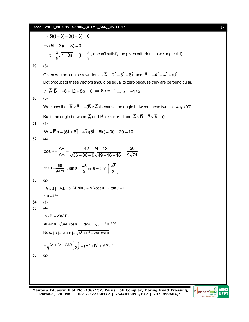# **Phase Test–I\_MGZ-1904,1905\_(AIIMS\_Sol.)\_05-11-17** [ **7** ]

⇒ 5t(t-3) - 3(t-3) = 0  
\n⇒ (5t-3)(t-3) = 0  
\nt = 
$$
\frac{3}{5}
$$
,  $\frac{1}{15}$  = 3s (t =  $\frac{3}{5}$ , doesn't satisfy the given criterion, so we neglect it)  
\n29. (3)  
\nGiven vectors can be rewritten as  $\vec{A} = 2\hat{i} + 3\hat{j} + 8\hat{k}$  and  $\vec{B} = -4\hat{i} + 4\hat{j} + \alpha\hat{k}$   
\nDot product of these vectors should be equal to zero because they are perpendicular.  
\n∴  $\vec{A} \cdot \vec{B} = -8 + 12 + 8\alpha = 0$  ⇒  $8\alpha = -4$  ⇒  $\alpha = -1/2$   
\n30. (3)  
\nWe know that  $\vec{A} \times \vec{B} = -(\vec{B} \times \vec{A})$  because the angle between these two is always 90°.  
\nBut if the angle between  $\vec{A}$  and  $\vec{B}$  is 0 or  $\pi$ . Then  $\vec{A} \times \vec{B} = \vec{B} \times \vec{A} = 0$ .  
\n31. (1)  
\n $W = \vec{F} \cdot \vec{S} = (5\hat{i} + 6\hat{j} + 4\hat{k})(6\hat{i} - 5\hat{k}) = 30 - 20 = 10$   
\n32. (4)  
\n $\cos \theta = \frac{56}{AB} = \frac{42 + 24 - 12}{\sqrt{36 + 36 + 9} \sqrt{49 + 16 + 16}} = \frac{56}{9\sqrt{71}}$   
\n $\cos \theta = \frac{56}{9\sqrt{71}}$ .  $\sin \theta = \frac{\sqrt{5}}{3}$  or  $\theta = \sin^{-1}(\frac{\sqrt{5}}{3})$   
\n33. (2)  
\n $|\vec{A} \times \vec{B}| = \sqrt{3}(\vec{A}\vec{B})$   
\n $|\vec{A} \times \vec{B}| = \sqrt{3}(\vec{A}\vec{B})$   
\n $|\vec{A} \times \vec{B}| = \sqrt{3}(\vec{A}\vec{B})$   
\n $|\vec{A} \times \vec{B}| = \sqrt{3}(\vec{A}\vec{B})$ 

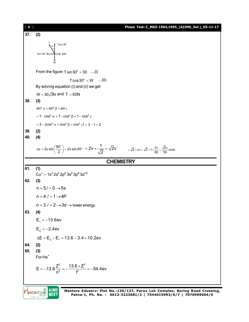

**Patna-1, Ph. No. : 0612-3223681/2 | 7544015993/6/7 | 7070999604/5**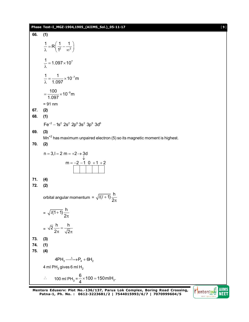2 has a test-1.0(72-1.904,1.905 (ATIMS\_S50L), 05-11-17  
\n66. (1)  
\n
$$
\frac{1}{\lambda} = R\left(\frac{1}{1^2} - \frac{1}{\infty^2}\right)
$$
\n
$$
\frac{1}{\lambda} = 1.097 \times 10^7
$$
\n
$$
= \frac{100}{1.097} \times 10^{-9}
$$
\n
$$
= \frac{100}{1.097} \times 10^{-9}
$$
\n67. (2)  
\n68. (1)  
\n
$$
Fe^{2} - 1s^2 2s^2 2p^6 3s^2 3p^6 3d^6
$$
\n69. (3)  
\n
$$
m^{-2} = 1 - 10 + 1 + 2
$$
\n
$$
m = -2 - 1 - 0 + 1 + 2
$$
\n
$$
m = -2 - 1 - 0 + 1 + 2
$$
\n71. (4)  
\n72. (2)  
\n
$$
m = -2 - 1 - 0 + 1 + 2
$$
\n73. (3)  
\n
$$
m = -\sqrt{l(l+1)} \frac{h}{2\pi}
$$
\n
$$
= \sqrt{l(l+1)} \frac{h}{2\pi}
$$
\n
$$
= \sqrt{l(1+1)} \frac{h}{2\pi}
$$
\n
$$
= \sqrt{2} \frac{h}{2\pi} = \frac{h}{\sqrt{2\pi}}
$$
\n73. (3)  
\n74. (1)  
\n75. (4)  
\n4PH<sub>3</sub> -<sup>3</sup> - P<sub>4</sub> + 6H<sub>2</sub>  
\n4<sup>2</sup> + m|H<sub>3</sub> gives 6<sup>-1</sup>H<sub>2</sub>  
\n $\therefore 100$  m| $PH_{3} = \frac{6}{4} \times 100 = 150$  m|H<sub>2</sub>.

**Mentors Eduserv: Plot No.-136/137, Parus Lok Complex, Boring Road Crossing, Patna-1, Ph. No. : 0612-3223681/2 | 7544015993/6/7 | 7070999604/5**